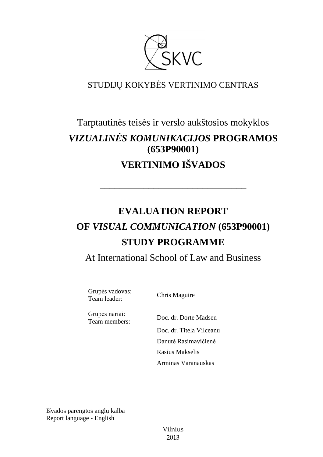

# STUDIJŲ KOKYBĖS VERTINIMO CENTRAS

# Tarptautinės teisės ir verslo aukštosios mokyklos *VIZUALINĖS KOMUNIKACIJOS* **PROGRAMOS (653P90001) VERTINIMO IŠVADOS**

# **EVALUATION REPORT OF** *VISUAL COMMUNICATION* **(653P90001) STUDY PROGRAMME**

––––––––––––––––––––––––––––––

At International School of Law and Business

Grupės vadovas: Team leader: Chris Maguire

Grupės nariai:

Team members: Doc. dr. Dorte Madsen Doc. dr. Titela Vilceanu Danutė Rasimavičienė Rasius Makselis Arminas Varanauskas

Išvados parengtos anglų kalba Report language - English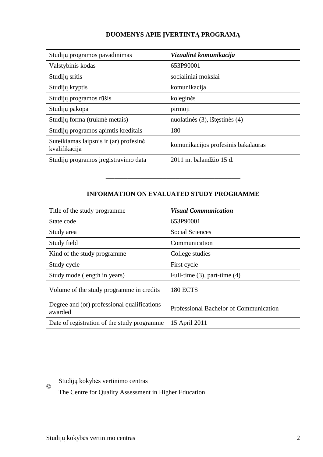# **DUOMENYS APIE ĮVERTINTĄ PROGRAMĄ**

| Studijų programos pavadinimas                           | Vizualinė komunikacija              |
|---------------------------------------------------------|-------------------------------------|
| Valstybinis kodas                                       | 653P90001                           |
| Studijų sritis                                          | socialiniai mokslai                 |
| Studijų kryptis                                         | komunikacija                        |
| Studijų programos rūšis                                 | koleginės                           |
| Studijų pakopa                                          | pirmoji                             |
| Studijų forma (trukmė metais)                           | nuolatinės (3), ištęstinės (4)      |
| Studijų programos apimtis kreditais                     | 180                                 |
| Suteikiamas laipsnis ir (ar) profesinė<br>kvalifikacija | komunikacijos profesinis bakalauras |
| Studijų programos įregistravimo data                    | $2011$ m. balandžio 15 d.           |

### **INFORMATION ON EVALUATED STUDY PROGRAMME**

–––––––––––––––––––––––––––––––

| Title of the study programme.                          | <b>Visual Communication</b>            |
|--------------------------------------------------------|----------------------------------------|
| State code                                             | 653P90001                              |
| Study area                                             | <b>Social Sciences</b>                 |
| Study field                                            | Communication                          |
| Kind of the study programme                            | College studies                        |
| Study cycle                                            | First cycle                            |
| Study mode (length in years)                           | Full-time $(3)$ , part-time $(4)$      |
| Volume of the study programme in credits               | <b>180 ECTS</b>                        |
| Degree and (or) professional qualifications<br>awarded | Professional Bachelor of Communication |
| Date of registration of the study programme            | 15 April 2011                          |

## Studijų kokybės vertinimo centras

The Centre for Quality Assessment in Higher Education

©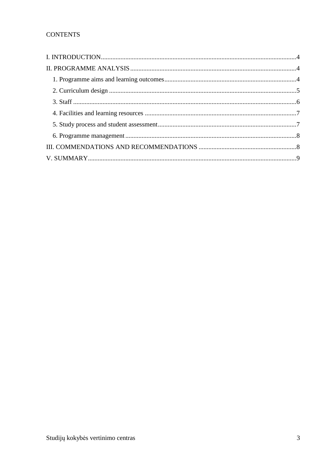# **CONTENTS**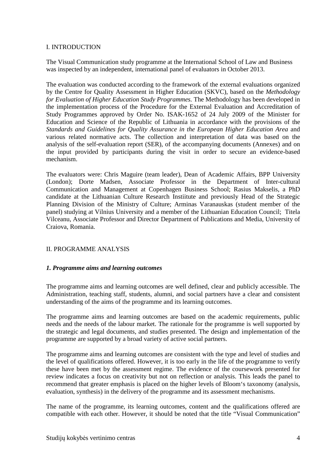#### I. INTRODUCTION

The Visual Communication study programme at the International School of Law and Business was inspected by an independent, international panel of evaluators in October 2013.

The evaluation was conducted according to the framework of the external evaluations organized by the Centre for Quality Assessment in Higher Education (SKVC), based on the *Methodology for Evaluation of Higher Education Study Programmes.* The Methodology has been developed in the implementation process of the Procedure for the External Evaluation and Accreditation of Study Programmes approved by Order No. ISAK-1652 of 24 July 2009 of the Minister for Education and Science of the Republic of Lithuania in accordance with the provisions of the *Standards and Guidelines for Quality Assurance in the European Higher Education Area* and various related normative acts. The collection and interpretation of data was based on the analysis of the self-evaluation report (SER), of the accompanying documents (Annexes) and on the input provided by participants during the visit in order to secure an evidence-based mechanism.

The evaluators were: Chris Maguire (team leader), Dean of Academic Affairs, BPP University (London); Dorte Madsen, Associate Professor in the Department of Inter-cultural Communication and Management at Copenhagen Business School; Rasius Makselis, a PhD candidate at the Lithuanian Culture Research Instiitute and previously Head of the Strategic Planning Division of the Ministry of Culture; Arminas Varanauskas (student member of the panel) studying at Vilnius University and a member of the Lithuanian Education Council; Titela Vilceanu, Associate Professor and Director Department of Publications and Media, University of Craiova, Romania.

#### II. PROGRAMME ANALYSIS

#### *1. Programme aims and learning outcomes*

The programme aims and learning outcomes are well defined, clear and publicly accessible. The Administration, teaching staff, students, alumni, and social partners have a clear and consistent understanding of the aims of the programme and its learning outcomes.

The programme aims and learning outcomes are based on the academic requirements, public needs and the needs of the labour market. The rationale for the programme is well supported by the strategic and legal documents, and studies presented. The design and implementation of the programme are supported by a broad variety of active social partners.

The programme aims and learning outcomes are consistent with the type and level of studies and the level of qualifications offered. However, it is too early in the life of the programme to verify these have been met by the assessment regime. The evidence of the coursework presented for review indicates a focus on creativity but not on reflection or analysis. This leads the panel to recommend that greater emphasis is placed on the higher levels of Bloom's taxonomy (analysis, evaluation, synthesis) in the delivery of the programme and its assessment mechanisms.

The name of the programme, its learning outcomes, content and the qualifications offered are compatible with each other. However, it should be noted that the title "Visual Communication"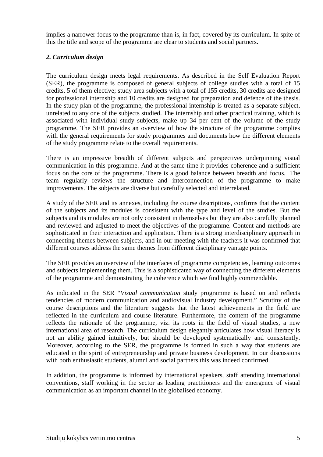implies a narrower focus to the programme than is, in fact, covered by its curriculum. In spite of this the title and scope of the programme are clear to students and social partners.

#### *2. Curriculum design*

The curriculum design meets legal requirements. As described in the Self Evaluation Report (SER), the programme is composed of general subjects of college studies with a total of 15 credits, 5 of them elective; study area subjects with a total of 155 credits, 30 credits are designed for professional internship and 10 credits are designed for preparation and defence of the thesis. In the study plan of the programme, the professional internship is treated as a separate subject, unrelated to any one of the subjects studied. The internship and other practical training, which is associated with individual study subjects, make up 34 per cent of the volume of the study programme. The SER provides an overview of how the structure of the programme complies with the general requirements for study programmes and documents how the different elements of the study programme relate to the overall requirements.

There is an impressive breadth of different subjects and perspectives underpinning visual communication in this programme. And at the same time it provides coherence and a sufficient focus on the core of the programme. There is a good balance between breadth and focus. The team regularly reviews the structure and interconnection of the programme to make improvements. The subjects are diverse but carefully selected and interrelated.

A study of the SER and its annexes, including the course descriptions, confirms that the content of the subjects and its modules is consistent with the type and level of the studies. But the subjects and its modules are not only consistent in themselves but they are also carefully planned and reviewed and adjusted to meet the objectives of the programme. Content and methods are sophisticated in their interaction and application. There is a strong interdisciplinary approach in connecting themes between subjects, and in our meeting with the teachers it was confirmed that different courses address the same themes from different disciplinary vantage points.

The SER provides an overview of the interfaces of programme competencies, learning outcomes and subjects implementing them. This is a sophisticated way of connecting the different elements of the programme and demonstrating the coherence which we find highly commendable.

As indicated in the SER "*Visual communication* study programme is based on and reflects tendencies of modern communication and audiovisual industry development." Scrutiny of the course descriptions and the literature suggests that the latest achievements in the field are reflected in the curriculum and course literature. Furthermore, the content of the programme reflects the rationale of the programme, viz. its roots in the field of visual studies, a new international area of research. The curriculum design elegantly articulates how visual literacy is not an ability gained intuitively, but should be developed systematically and consistently. Moreover, according to the SER, the programme is formed in such a way that students are educated in the spirit of entrepreneurship and private business development. In our discussions with both enthusiastic students, alumni and social partners this was indeed confirmed.

In addition, the programme is informed by international speakers, staff attending international conventions, staff working in the sector as leading practitioners and the emergence of visual communication as an important channel in the globalised economy.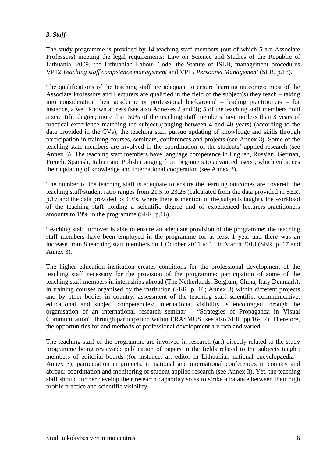### *3. Staff*

The study programme is provided by 14 teaching staff members (out of which 5 are Associate Professors) meeting the legal requirements: Law on Science and Studies of the Republic of Lithuania, 2009, the Lithuanian Labour Code, the Statute of ISLB, management procedures VP12 *Teaching staff competence management* and VP15 *Personnel Management* (SER, p.18).

The qualifications of the teaching staff are adequate to ensure learning outcomes: most of the Associate Professors and Lecturers are qualified in the field of the subject(s) they teach – taking into consideration their academic or professional background – leading practitioners – for instance, a well known actress (see also Annexes 2 and 3); 5 of the teaching staff members hold a scientific degree; more than 50% of the teaching staff members have no less than 3 years of practical experience matching the subject (ranging between 4 and 40 years) (according to the data provided in the CVs); the teaching staff pursue updating of knowledge and skills through participation in training courses, seminars, conferences and projects (see Annex 3). Some of the teaching staff members are involved in the coordination of the students' applied research (see Annex 3). The teaching staff members have language competence in English, Russian, German, French, Spanish, Italian and Polish (ranging from beginners to advanced users), which enhances their updating of knowledge and international cooperation (see Annex 3).

The number of the teaching staff is adequate to ensure the learning outcomes are covered: the teaching staff/student ratio ranges from 21.5 to 23.25 (calculated from the data provided in SER, p.17 and the data provided by CVs, where there is mention of the subjects taught), the workload of the teaching staff holding a scientific degree and of experienced lecturers-practitioners amounts to 19% in the programme (SER, p.16).

Teaching staff turnover is able to ensure an adequate provision of the programme: the teaching staff members have been employed in the programme for at least 1 year and there was an increase from 8 teaching staff members on 1 October 2011 to 14 in March 2013 (SER, p. 17 and Annex 3).

The higher education institution creates conditions for the professional development of the teaching staff necessary for the provision of the programme: participation of some of the teaching staff members in internships abroad (The Netherlands, Belgium, China, Italy Denmark), in training courses organised by the institution (SER, p. 16; Annex 3) within different projects and by other bodies in country; assessment of the teaching staff scientific, communicative, educational and subject competencies; international visibility is encouraged through the organisation of an international research seminar – "Strategies of Propaganda in Visual Communication", through participation within ERASMUS (see also SER, pp.16-17). Therefore, the opportunities for and methods of professional development are rich and varied.

The teaching staff of the programme are involved in research (art) directly related to the study programme being reviewed: publication of papers in the fields related to the subjects taught; members of editorial boards (for instance, art editor in Lithuanian national encyclopaedia – Annex 3); participation in projects, in national and international conferences in country and abroad; coordination and monitoring of student applied research (see Annex 3). Yet, the teaching staff should further develop their research capability so as to strike a balance between their high profile practice and scientific visibility.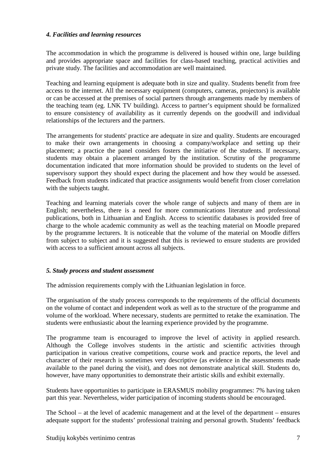#### *4. Facilities and learning resources*

The accommodation in which the programme is delivered is housed within one, large building and provides appropriate space and facilities for class-based teaching, practical activities and private study. The facilities and accommodation are well maintained.

Teaching and learning equipment is adequate both in size and quality. Students benefit from free access to the internet. All the necessary equipment (computers, cameras, projectors) is available or can be accessed at the premises of social partners through arrangements made by members of the teaching team (eg. LNK TV building). Access to partner's equipment should be formalized to ensure consistency of availability as it currently depends on the goodwill and individual relationships of the lecturers and the partners.

The arrangements for students' practice are adequate in size and quality. Students are encouraged to make their own arrangements in choosing a company/workplace and setting up their placement; a practice the panel considers fosters the initiative of the students. If necessary, students may obtain a placement arranged by the institution. Scrutiny of the programme documentation indicated that more information should be provided to students on the level of supervisory support they should expect during the placement and how they would be assessed. Feedback from students indicated that practice assignments would benefit from closer correlation with the subjects taught.

Teaching and learning materials cover the whole range of subjects and many of them are in English; nevertheless, there is a need for more communications literature and professional publications, both in Lithuanian and English. Access to scientific databases is provided free of charge to the whole academic community as well as the teaching material on Moodle prepared by the programme lecturers. It is noticeable that the volume of the material on Moodle differs from subject to subject and it is suggested that this is reviewed to ensure students are provided with access to a sufficient amount across all subjects.

#### *5. Study process and student assessment*

The admission requirements comply with the Lithuanian legislation in force.

The organisation of the study process corresponds to the requirements of the official documents on the volume of contact and independent work as well as to the structure of the programme and volume of the workload. Where necessary, students are permitted to retake the examination. The students were enthusiastic about the learning experience provided by the programme.

The programme team is encouraged to improve the level of activity in applied research. Although the College involves students in the artistic and scientific activities through participation in various creative competitions, course work and practice reports, the level and character of their research is sometimes very descriptive (as evidence in the assessments made available to the panel during the visit), and does not demonstrate analytical skill. Students do, however, have many opportunities to demonstrate their artistic skills and exhibit externally.

Students have opportunities to participate in ERASMUS mobility programmes: 7% having taken part this year. Nevertheless, wider participation of incoming students should be encouraged.

The School – at the level of academic management and at the level of the department – ensures adequate support for the students' professional training and personal growth. Students' feedback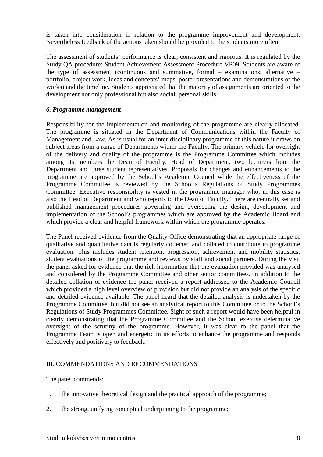is taken into consideration in relation to the programme improvement and development. Nevertheless feedback of the actions taken should be provided to the students more often.

The assessment of students' performance is clear, consistent and rigorous. It is regulated by the Study QA procedure: Student Achievement Assessment Procedure VP09. Students are aware of the type of assessment (continuous and summative, formal – examinations, alternative – portfolio, project work, ideas and concepts' maps, poster presentations and demonstrations of the works) and the timeline. Students appreciated that the majority of assignments are oriented to the development not only professional but also social, personal skills.

#### *6. Programme management*

Responsibility for the implementation and monitoring of the programme are clearly allocated. The programme is situated in the Department of Communications within the Faculty of Management and Law. As is usual for an inter-disciplinary programme of this nature it draws on subject areas from a range of Departments within the Faculty. The primary vehicle for oversight of the delivery and quality of the programme is the Programme Committee which includes among its members the Dean of Faculty, Head of Department, two lecturers from the Department and three student representatives. Proposals for changes and enhancements to the programme are approved by the School's Academic Council while the effectiveness of the Programme Committee is reviewed by the School's Regulations of Study Programmes Committee. Executive responsibility is vested in the programme manager who, in this case is also the Head of Department and who reports to the Dean of Faculty. There are centrally set and published management procedures governing and overseeing the design, development and implementation of the School's programmes which are approved by the Academic Board and which provide a clear and helpful framework within which the programme operates.

The Panel received evidence from the Quality Office demonstrating that an appropriate range of qualitative and quantitative data is regularly collected and collated to contribute to programme evaluation. This includes student retention, progression, achievement and mobility statistics, student evaluations of the programme and reviews by staff and social partners. During the visit the panel asked for evidence that the rich information that the evaluation provided was analysed and considered by the Programme Committee and other senior committees. In addition to the detailed collation of evidence the panel received a report addressed to the Academic Council which provided a high level overview of provision but did not provide an analysis of the specific and detailed evidence available. The panel heard that the detailed analysis is undertaken by the Programme Committee, but did not see an analytical report to this Committee or to the School's Regulations of Study Programmes Committee. Sight of such a report would have been helpful in clearly demonstrating that the Programme Committee and the School exercise determinative oversight of the scrutiny of the programme. However, it was clear to the panel that the Programme Team is open and energetic in its efforts to enhance the programme and responds effectively and positively to feedback.

#### III. COMMENDATIONS AND RECOMMENDATIONS

The panel commends:

- 1. the innovative theoretical design and the practical approach of the programme;
- 2. the strong, unifying conceptual underpinning to the programme;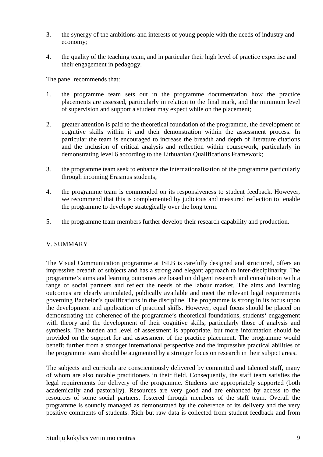- 3. the synergy of the ambitions and interests of young people with the needs of industry and economy;
- 4. the quality of the teaching team, and in particular their high level of practice expertise and their engagement in pedagogy.

The panel recommends that:

- 1. the programme team sets out in the programme documentation how the practice placements are assessed, particularly in relation to the final mark, and the minimum level of supervision and support a student may expect while on the placement;
- 2. greater attention is paid to the theoretical foundation of the programme, the development of cognitive skills within it and their demonstration within the assessment process. In particular the team is encouraged to increase the breadth and depth of literature citations and the inclusion of critical analysis and reflection within coursework, particularly in demonstrating level 6 according to the Lithuanian Qualifications Framework;
- 3. the programme team seek to enhance the internationalisation of the programme particularly through incoming Erasmus students;
- 4. the programme team is commended on its responsiveness to student feedback. However, we recommend that this is complemented by judicious and measured reflection to enable the programme to develope strategically over the long term.
- 5. the programme team members further develop their research capability and production.

#### V. SUMMARY

The Visual Communication programme at ISLB is carefully designed and structured, offers an impressive breadth of subjects and has a strong and elegant approach to inter-disciplinarity. The programme's aims and learning outcomes are based on diligent research and consultation with a range of social partners and reflect the needs of the labour market. The aims and learning outcomes are clearly articulated, publically available and meet the relevant legal requirements governing Bachelor's qualifications in the discipline. The programme is strong in its focus upon the development and application of practical skills. However, equal focus should be placed on demonstrating the coherenec of the programme's theoretical foundations, students' engagement with theory and the development of their cognitive skills, particularly those of analysis and synthesis. The burden and level of assessment is appropriate, but more information should be provided on the support for and assessment of the practice placement. The programme would benefit further from a stronger international perspective and the impressive practical abilities of the programme team should be augmented by a stronger focus on research in their subject areas.

The subjects and curricula are conscientiously delivered by committed and talented staff, many of whom are also notable practitioners in their field. Consequently, the staff team satisfies the legal requirements for delivery of the programme. Students are appropriately supported (both academically and pastorally). Resources are very good and are enhanced by access to the resources of some social partners, fostered through members of the staff team. Overall the programme is soundly managed as demonstrated by the coherence of its delivery and the very positive comments of students. Rich but raw data is collected from student feedback and from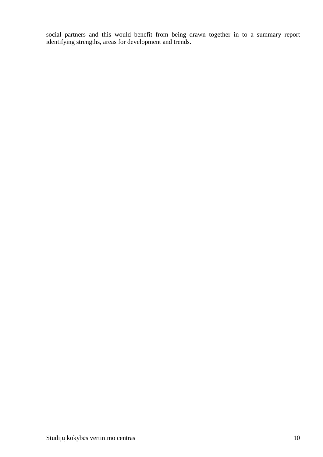social partners and this would benefit from being drawn together in to a summary report identifying strengths, areas for development and trends.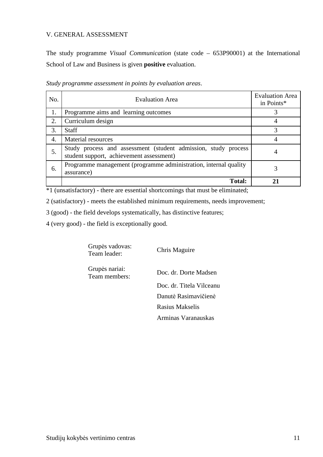#### V. GENERAL ASSESSMENT

The study programme *Visual Communication* (state code – 653P90001) at the International School of Law and Business is given **positive** evaluation.

| No. | <b>Evaluation Area</b>                                                                                     | <b>Evaluation Area</b><br>in Points* |
|-----|------------------------------------------------------------------------------------------------------------|--------------------------------------|
| 1.  | Programme aims and learning outcomes                                                                       |                                      |
| 2.  | Curriculum design                                                                                          |                                      |
| 3.  | <b>Staff</b>                                                                                               |                                      |
| 4.  | <b>Material resources</b>                                                                                  |                                      |
| 5.  | Study process and assessment (student admission, study process<br>student support, achievement assessment) | 4                                    |
| 6.  | Programme management (programme administration, internal quality<br>assurance)                             |                                      |
|     | <b>Total:</b>                                                                                              |                                      |

*Study programme assessment in points by evaluation areas*.

\*1 (unsatisfactory) - there are essential shortcomings that must be eliminated;

2 (satisfactory) - meets the established minimum requirements, needs improvement;

3 (good) - the field develops systematically, has distinctive features;

4 (very good) - the field is exceptionally good.

Grupės vadovas: Team leader: Chris Maguire

Grupės nariai:

Team members: Doc. dr. Dorte Madsen Doc. dr. Titela Vilceanu Danutė Rasimavičienė Rasius Makselis Arminas Varanauskas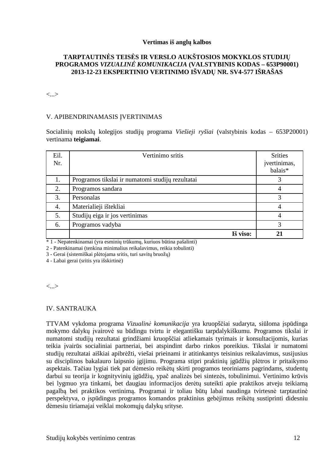#### **Vertimas iš anglų kalbos**

#### **TARPTAUTINĖS TEISĖS IR VERSLO AUKŠTOSIOS MOKYKLOS STUDIJŲ PROGRAMOS** *VIZUALINĖ KOMUNIKACIJA* **(VALSTYBINIS KODAS – 653P90001) 2013-12-23 EKSPERTINIO VERTINIMO IŠVADŲ NR. SV4-577 IŠRAŠAS**

<...>

#### V. APIBENDRINAMASIS ĮVERTINIMAS

Socialinių mokslų kolegijos studijų programa *Viešieji ryšiai* (valstybinis kodas – 653P20001) vertinama **teigiamai**.

| Eil.<br>Nr. | Vertinimo sritis                                 | <b>Srities</b><br>jvertinimas,<br>balais* |
|-------------|--------------------------------------------------|-------------------------------------------|
| 1.          | Programos tikslai ir numatomi studijų rezultatai |                                           |
| 2.          | Programos sandara                                | 4                                         |
| 3.          | Personalas                                       | 3                                         |
| 4.          | Materialieji ištekliai                           | 4                                         |
| 5.          | Studijų eiga ir jos vertinimas                   | 4                                         |
| 6.          | Programos vadyba                                 | 3                                         |
|             | Iš viso:                                         |                                           |

\* 1 - Nepatenkinamai (yra esminių trūkumų, kuriuos būtina pašalinti)

2 - Patenkinamai (tenkina minimalius reikalavimus, reikia tobulinti)

3 - Gerai (sistemiškai plėtojama sritis, turi savitų bruožų)

4 - Labai gerai (sritis yra išskirtinė)

<...>

#### IV. SANTRAUKA

TTVAM vykdoma programa *Vizualinė komunikacija* yra kruopščiai sudaryta, siūloma įspūdinga mokymo dalykų įvairovė su būdingu tvirtu ir elegantišku tarpdalykiškumu. Programos tikslai ir numatomi studijų rezultatai grindžiami kruopščiai atliekamais tyrimais ir konsultacijomis, kurias teikia įvairūs socialiniai partneriai, bei atspindint darbo rinkos poreikius. Tikslai ir numatomi studijų rezultatai aiškiai apibrėžti, viešai prieinami ir atitinkantys teisinius reikalavimus, susijusius su disciplinos bakalauro laipsnio įgijimu. Programa stipri praktinių įgūdžių plėtros ir pritaikymo aspektais. Tačiau lygiai tiek pat dėmesio reikėtų skirti programos teoriniams pagrindams, studentų darbui su teorija ir kognityvinių įgūdžių, ypač analizės bei sintezės, tobulinimui. Vertinimo krūvis bei lygmuo yra tinkami, bet daugiau informacijos derėtų suteikti apie praktikos atveju teikiamą pagalbą bei praktikos vertinimą. Programai ir toliau būtų labai naudinga tvirtesnė tarptautinė perspektyva, o įspūdingus programos komandos praktinius gebėjimus reikėtų sustiprinti didesniu dėmesiu tiriamajai veiklai mokomųjų dalykų srityse.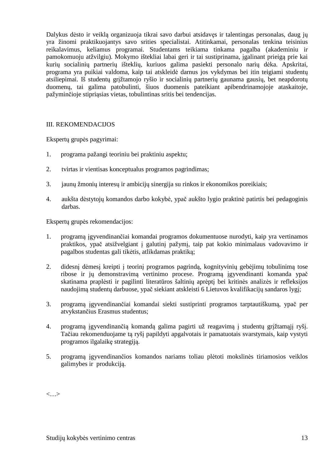Dalykus dėsto ir veiklą organizuoja tikrai savo darbui atsidavęs ir talentingas personalas, daug jų yra žinomi praktikuojantys savo srities specialistai. Atitinkamai, personalas tenkina teisinius reikalavimus, keliamus programai. Studentams teikiama tinkama pagalba (akademiniu ir pamokomuoju atžvilgiu). Mokymo ištekliai labai geri ir tai sustiprinama, įgalinant prieigą prie kai kurių socialinių partnerių išteklių, kuriuos galima pasiekti personalo narių dėka. Apskritai, programa yra puikiai valdoma, kaip tai atskleidė darnus jos vykdymas bei itin teigiami studentų atsiliepimai. Iš studentų grįžtamojo ryšio ir socialinių partnerių gaunama gausių, bet neapdorotų duomenų, tai galima patobulinti, šiuos duomenis pateikiant apibendrinamojoje ataskaitoje, pažyminčioje stipriąsias vietas, tobulintinas sritis bei tendencijas.

#### III. REKOMENDACIJOS

Ekspertų grupės pagyrimai:

- 1. programa pažangi teoriniu bei praktiniu aspektu;
- 2. tvirtas ir vientisas konceptualus programos pagrindimas;
- 3. jaunų žmonių interesų ir ambicijų sinergija su rinkos ir ekonomikos poreikiais;
- 4. aukšta dėstytojų komandos darbo kokybė, ypač aukšto lygio praktinė patirtis bei pedagoginis darbas.

Ekspertų grupės rekomendacijos:

- 1. programą įgyvendinančiai komandai programos dokumentuose nurodyti, kaip yra vertinamos praktikos, ypač atsižvelgiant į galutinį pažymį, taip pat kokio minimalaus vadovavimo ir pagalbos studentas gali tikėtis, atlikdamas praktiką;
- 2. didesnį dėmesį kreipti į teorinį programos pagrindą, kognityvinių gebėjimų tobulinimą tose ribose ir jų demonstravimą vertinimo procese. Programą įgyvendinanti komanda ypač skatinama praplėsti ir pagilinti literatūros šaltinių aprėptį bei kritinės analizės ir refleksijos naudojimą studentų darbuose, ypač siekiant atskleisti 6 Lietuvos kvalifikacijų sandaros lygį;
- 3. programą įgyvendinančiai komandai siekti sustiprinti programos tarptautiškumą, ypač per atvykstančius Erasmus studentus;
- 4. programą įgyvendinančią komandą galima pagirti už reagavimą į studentų grįžtamąjį ryšį. Tačiau rekomenduojame tą ryšį papildyti apgalvotais ir pamatuotais svarstymais, kaip vystyti programos ilgalaikę strategiją.
- 5. programą įgyvendinančios komandos nariams toliau plėtoti mokslinės tiriamosios veiklos galimybes ir produkciją.

<…>